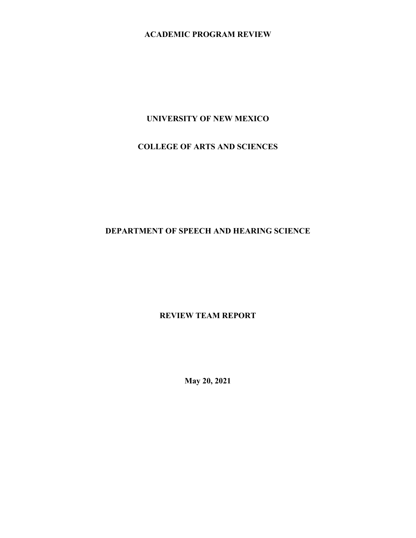# **ACADEMIC PROGRAM REVIEW**

### **UNIVERSITY OF NEW MEXICO**

# **COLLEGE OF ARTS AND SCIENCES**

## **DEPARTMENT OF SPEECH AND HEARING SCIENCE**

# **REVIEW TEAM REPORT**

**May 20, 2021**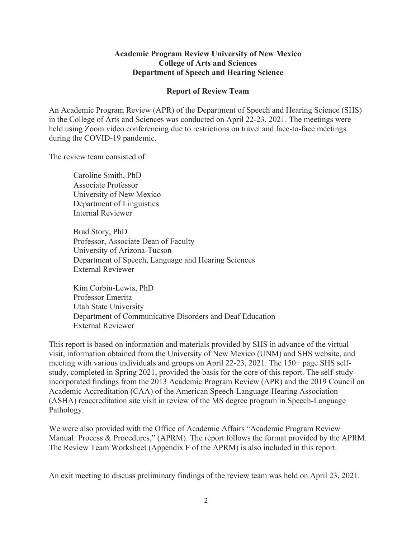#### **Academic Program Review University of New Mexico College of Arts and Sciences Department of Speech and Hearing Science**

#### **Report of Review Team**

An Academic Program Review (APR) of the Department of Speech and Hearing Science (SHS) in the College of Arts and Sciences was conducted on April 22-23, 2021. The meetings were held using Zoom video conferencing due to restrictions on travel and face-to-face meetings during the COVID-19 pandemic.

The review team consisted of:

Caroline Smith, PhD Associate Professor University of New Mexico Department of Linguistics Internal Reviewer

Brad Story, PhD Professor, Associate Dean of Faculty University of Arizona-Tucson Department of Speech, Language and Hearing Sciences External Reviewer

Kim Corbin-Lewis, PhD Professor Emerita Utah State University Department of Communicative Disorders and Deaf Education External Reviewer

This report is based on information and materials provided by SHS in advance of the virtual visit, information obtained from the University of New Mexico (UNM) and SHS website, and meeting with various individuals and groups on April 22-23, 2021. The 150+ page SHS selfstudy, completed in Spring 2021, provided the basis for the core of this report. The self-study incorporated findings from the 2013 Academic Program Review (APR) and the 2019 Council on Academic Accreditation (CAA) of the American Speech-Language-Hearing Association (ASHA) reaccreditation site visit in review of the MS degree program in Speech-Language Pathology.

We were also provided with the Office of Academic Affairs "Academic Program Review Manual: Process & Procedures," (APRM). The report follows the format provided by the APRM. The Review Team Worksheet (Appendix F of the APRM) is also included in this report.

An exit meeting to discuss preliminary findings of the review team was held on April 23, 2021.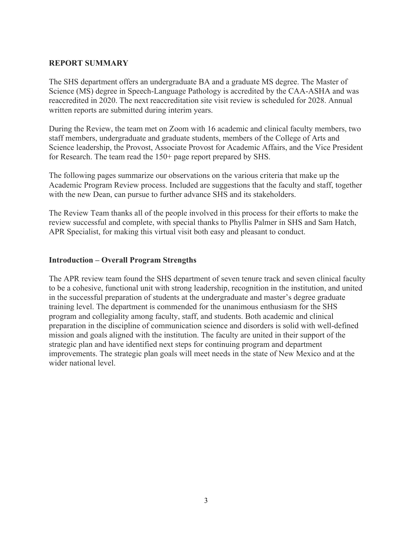#### **REPORT SUMMARY**

The SHS department offers an undergraduate BA and a graduate MS degree. The Master of Science (MS) degree in Speech-Language Pathology is accredited by the CAA-ASHA and was reaccredited in 2020. The next reaccreditation site visit review is scheduled for 2028. Annual written reports are submitted during interim years.

During the Review, the team met on Zoom with 16 academic and clinical faculty members, two staff members, undergraduate and graduate students, members of the College of Arts and Science leadership, the Provost, Associate Provost for Academic Affairs, and the Vice President for Research. The team read the 150+ page report prepared by SHS.

The following pages summarize our observations on the various criteria that make up the Academic Program Review process. Included are suggestions that the faculty and staff, together with the new Dean, can pursue to further advance SHS and its stakeholders.

The Review Team thanks all of the people involved in this process for their efforts to make the review successful and complete, with special thanks to Phyllis Palmer in SHS and Sam Hatch, APR Specialist, for making this virtual visit both easy and pleasant to conduct.

#### **Introduction – Overall Program Strengths**

The APR review team found the SHS department of seven tenure track and seven clinical faculty to be a cohesive, functional unit with strong leadership, recognition in the institution, and united in the successful preparation of students at the undergraduate and master's degree graduate training level. The department is commended for the unanimous enthusiasm for the SHS program and collegiality among faculty, staff, and students. Both academic and clinical preparation in the discipline of communication science and disorders is solid with well-defined mission and goals aligned with the institution. The faculty are united in their support of the strategic plan and have identified next steps for continuing program and department improvements. The strategic plan goals will meet needs in the state of New Mexico and at the wider national level.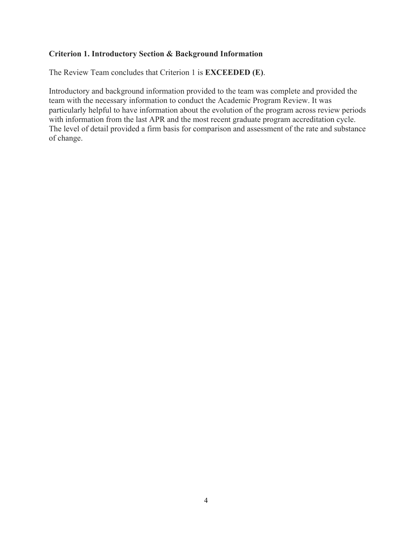#### **Criterion 1. Introductory Section & Background Information**

The Review Team concludes that Criterion 1 is **EXCEEDED (E)**.

Introductory and background information provided to the team was complete and provided the team with the necessary information to conduct the Academic Program Review. It was particularly helpful to have information about the evolution of the program across review periods with information from the last APR and the most recent graduate program accreditation cycle. The level of detail provided a firm basis for comparison and assessment of the rate and substance of change.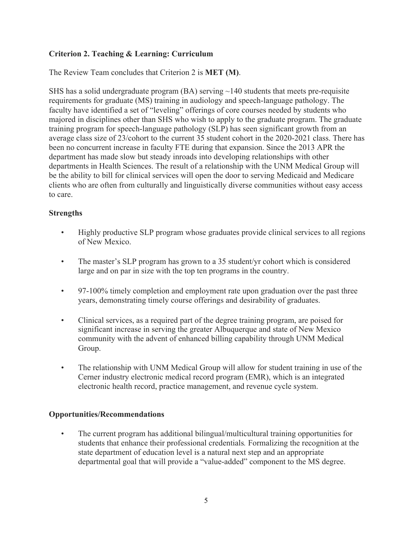## **Criterion 2. Teaching & Learning: Curriculum**

The Review Team concludes that Criterion 2 is **MET (M)**.

SHS has a solid undergraduate program  $(BA)$  serving  $\sim$ 140 students that meets pre-requisite requirements for graduate (MS) training in audiology and speech-language pathology. The faculty have identified a set of "leveling" offerings of core courses needed by students who majored in disciplines other than SHS who wish to apply to the graduate program. The graduate training program for speech-language pathology (SLP) has seen significant growth from an average class size of 23/cohort to the current 35 student cohort in the 2020-2021 class. There has been no concurrent increase in faculty FTE during that expansion. Since the 2013 APR the department has made slow but steady inroads into developing relationships with other departments in Health Sciences. The result of a relationship with the UNM Medical Group will be the ability to bill for clinical services will open the door to serving Medicaid and Medicare clients who are often from culturally and linguistically diverse communities without easy access to care.

# **Strengths**

- Highly productive SLP program whose graduates provide clinical services to all regions of New Mexico.
- The master's SLP program has grown to a 35 student/yr cohort which is considered large and on par in size with the top ten programs in the country.
- 97-100% timely completion and employment rate upon graduation over the past three years, demonstrating timely course offerings and desirability of graduates.
- Clinical services, as a required part of the degree training program, are poised for significant increase in serving the greater Albuquerque and state of New Mexico community with the advent of enhanced billing capability through UNM Medical Group.
- The relationship with UNM Medical Group will allow for student training in use of the Cerner industry electronic medical record program (EMR), which is an integrated electronic health record, practice management, and revenue cycle system.

## **Opportunities/Recommendations**

• The current program has additional bilingual/multicultural training opportunities for students that enhance their professional credentials*.* Formalizing the recognition at the state department of education level is a natural next step and an appropriate departmental goal that will provide a "value-added" component to the MS degree.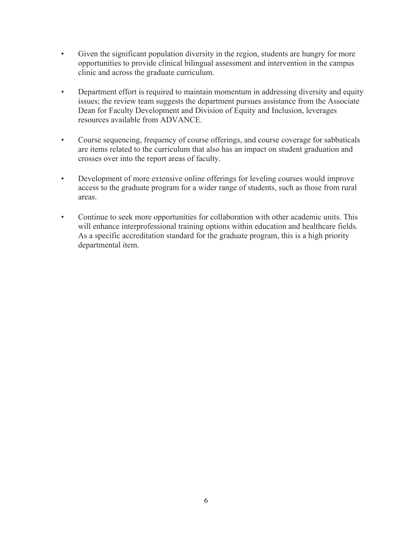- Given the significant population diversity in the region, students are hungry for more opportunities to provide clinical bilingual assessment and intervention in the campus clinic and across the graduate curriculum.
- Department effort is required to maintain momentum in addressing diversity and equity issues; the review team suggests the department pursues assistance from the Associate Dean for Faculty Development and Division of Equity and Inclusion, leverages resources available from ADVANCE.
- Course sequencing, frequency of course offerings, and course coverage for sabbaticals are items related to the curriculum that also has an impact on student graduation and crosses over into the report areas of faculty.
- Development of more extensive online offerings for leveling courses would improve access to the graduate program for a wider range of students, such as those from rural areas.
- Continue to seek more opportunities for collaboration with other academic units. This will enhance interprofessional training options within education and healthcare fields. As a specific accreditation standard for the graduate program, this is a high priority departmental item.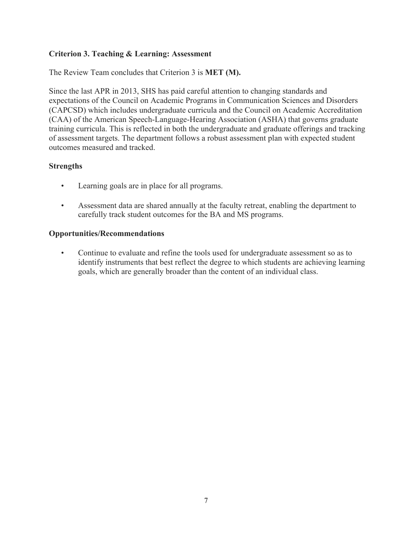#### **Criterion 3. Teaching & Learning: Assessment**

The Review Team concludes that Criterion 3 is **MET (M).**

Since the last APR in 2013, SHS has paid careful attention to changing standards and expectations of the Council on Academic Programs in Communication Sciences and Disorders (CAPCSD) which includes undergraduate curricula and the Council on Academic Accreditation (CAA) of the American Speech-Language-Hearing Association (ASHA) that governs graduate training curricula. This is reflected in both the undergraduate and graduate offerings and tracking of assessment targets. The department follows a robust assessment plan with expected student outcomes measured and tracked.

#### **Strengths**

- Learning goals are in place for all programs.
- Assessment data are shared annually at the faculty retreat, enabling the department to carefully track student outcomes for the BA and MS programs.

#### **Opportunities/Recommendations**

• Continue to evaluate and refine the tools used for undergraduate assessment so as to identify instruments that best reflect the degree to which students are achieving learning goals, which are generally broader than the content of an individual class.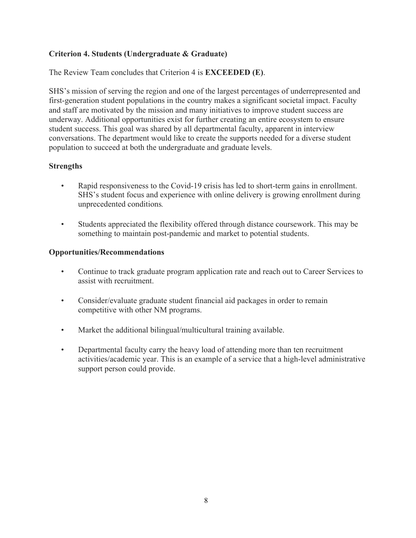# **Criterion 4. Students (Undergraduate & Graduate)**

The Review Team concludes that Criterion 4 is **EXCEEDED (E)**.

SHS's mission of serving the region and one of the largest percentages of underrepresented and first-generation student populations in the country makes a significant societal impact. Faculty and staff are motivated by the mission and many initiatives to improve student success are underway. Additional opportunities exist for further creating an entire ecosystem to ensure student success. This goal was shared by all departmental faculty, apparent in interview conversations. The department would like to create the supports needed for a diverse student population to succeed at both the undergraduate and graduate levels.

# **Strengths**

- Rapid responsiveness to the Covid-19 crisis has led to short-term gains in enrollment. SHS's student focus and experience with online delivery is growing enrollment during unprecedented conditions*.*
- Students appreciated the flexibility offered through distance coursework. This may be something to maintain post-pandemic and market to potential students.

#### **Opportunities/Recommendations**

- Continue to track graduate program application rate and reach out to Career Services to assist with recruitment.
- Consider/evaluate graduate student financial aid packages in order to remain competitive with other NM programs.
- Market the additional bilingual/multicultural training available.
- Departmental faculty carry the heavy load of attending more than ten recruitment activities/academic year. This is an example of a service that a high-level administrative support person could provide.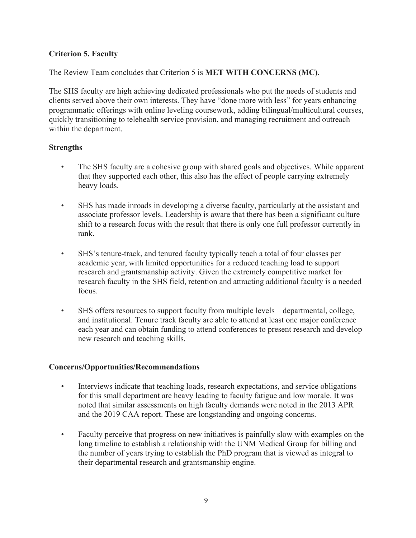## **Criterion 5. Faculty**

The Review Team concludes that Criterion 5 is **MET WITH CONCERNS (MC)**.

The SHS faculty are high achieving dedicated professionals who put the needs of students and clients served above their own interests. They have "done more with less" for years enhancing programmatic offerings with online leveling coursework, adding bilingual/multicultural courses, quickly transitioning to telehealth service provision, and managing recruitment and outreach within the department.

## **Strengths**

- The SHS faculty are a cohesive group with shared goals and objectives. While apparent that they supported each other, this also has the effect of people carrying extremely heavy loads.
- SHS has made inroads in developing a diverse faculty, particularly at the assistant and associate professor levels. Leadership is aware that there has been a significant culture shift to a research focus with the result that there is only one full professor currently in rank.
- SHS's tenure-track, and tenured faculty typically teach a total of four classes per academic year, with limited opportunities for a reduced teaching load to support research and grantsmanship activity. Given the extremely competitive market for research faculty in the SHS field, retention and attracting additional faculty is a needed focus.
- SHS offers resources to support faculty from multiple levels departmental, college, and institutional. Tenure track faculty are able to attend at least one major conference each year and can obtain funding to attend conferences to present research and develop new research and teaching skills.

## **Concerns/Opportunities/Recommendations**

- Interviews indicate that teaching loads, research expectations, and service obligations for this small department are heavy leading to faculty fatigue and low morale. It was noted that similar assessments on high faculty demands were noted in the 2013 APR and the 2019 CAA report. These are longstanding and ongoing concerns.
- Faculty perceive that progress on new initiatives is painfully slow with examples on the long timeline to establish a relationship with the UNM Medical Group for billing and the number of years trying to establish the PhD program that is viewed as integral to their departmental research and grantsmanship engine.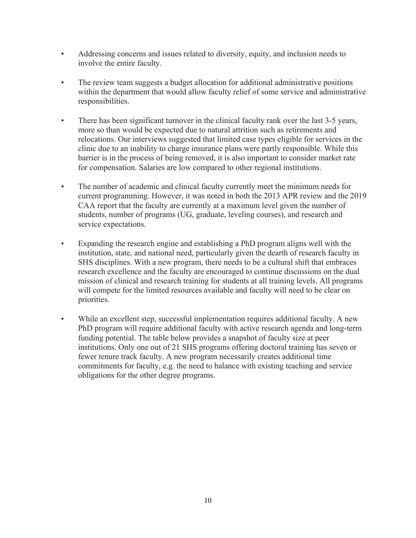- Addressing concerns and issues related to diversity, equity, and inclusion needs to involve the entire faculty.
- The review team suggests a budget allocation for additional administrative positions within the department that would allow faculty relief of some service and administrative responsibilities.
- There has been significant turnover in the clinical faculty rank over the last 3-5 years, more so than would be expected due to natural attrition such as retirements and relocations. Our interviews suggested that limited case types eligible for services in the clinic due to an inability to charge insurance plans were partly responsible. While this barrier is in the process of being removed, it is also important to consider market rate for compensation. Salaries are low compared to other regional institutions.
- The number of academic and clinical faculty currently meet the minimum needs for current programming. However, it was noted in both the 2013 APR review and the 2019 CAA report that the faculty are currently at a maximum level given the number of students, number of programs (UG, graduate, leveling courses), and research and service expectations.
- Expanding the research engine and establishing a PhD program aligns well with the institution, state, and national need, particularly given the dearth of research faculty in SHS disciplines. With a new program, there needs to be a cultural shift that embraces research excellence and the faculty are encouraged to continue discussions on the dual mission of clinical and research training for students at all training levels. All programs will compete for the limited resources available and faculty will need to be clear on priorities.
- While an excellent step, successful implementation requires additional faculty. A new PhD program will require additional faculty with active research agenda and long-term funding potential. The table below provides a snapshot of faculty size at peer institutions. Only one out of 21 SHS programs offering doctoral training has seven or fewer tenure track faculty. A new program necessarily creates additional time commitments for faculty, e.g. the need to balance with existing teaching and service obligations for the other degree programs.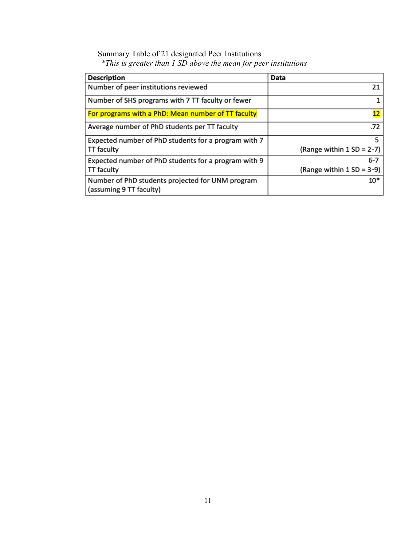# Summary Table of 21 designated Peer Institutions *\*This is greater than 1 SD above the mean for peer institutions*

| <b>Description</b>                                                          | Data                         |  |
|-----------------------------------------------------------------------------|------------------------------|--|
| Number of peer institutions reviewed                                        | 21                           |  |
| Number of SHS programs with 7 TT faculty or fewer                           |                              |  |
| For programs with a PhD: Mean number of TT faculty                          | 12                           |  |
| Average number of PhD students per TT faculty                               | .72                          |  |
| Expected number of PhD students for a program with 7                        | 5.                           |  |
| TT faculty                                                                  | (Range within $1 SD = 2-7$ ) |  |
| Expected number of PhD students for a program with 9                        | 6-7                          |  |
| TT faculty                                                                  | (Range within $1 SD = 3-9$ ) |  |
| Number of PhD students projected for UNM program<br>(assuming 9 TT faculty) | $10*$                        |  |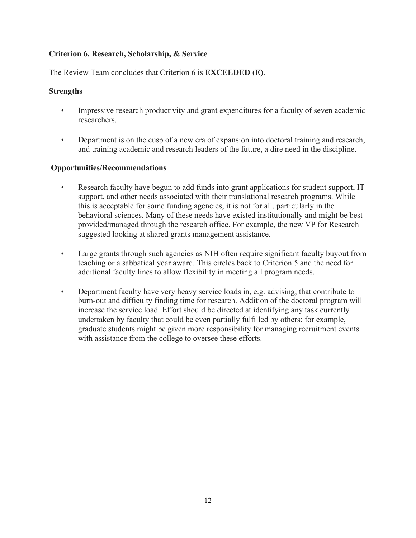## **Criterion 6. Research, Scholarship, & Service**

The Review Team concludes that Criterion 6 is **EXCEEDED (E)**.

## **Strengths**

- Impressive research productivity and grant expenditures for a faculty of seven academic researchers.
- Department is on the cusp of a new era of expansion into doctoral training and research, and training academic and research leaders of the future, a dire need in the discipline.

# **Opportunities/Recommendations**

- Research faculty have begun to add funds into grant applications for student support, IT support, and other needs associated with their translational research programs. While this is acceptable for some funding agencies, it is not for all, particularly in the behavioral sciences. Many of these needs have existed institutionally and might be best provided/managed through the research office. For example, the new VP for Research suggested looking at shared grants management assistance.
- Large grants through such agencies as NIH often require significant faculty buyout from teaching or a sabbatical year award. This circles back to Criterion 5 and the need for additional faculty lines to allow flexibility in meeting all program needs.
- Department faculty have very heavy service loads in, e.g. advising, that contribute to burn-out and difficulty finding time for research. Addition of the doctoral program will increase the service load. Effort should be directed at identifying any task currently undertaken by faculty that could be even partially fulfilled by others: for example, graduate students might be given more responsibility for managing recruitment events with assistance from the college to oversee these efforts.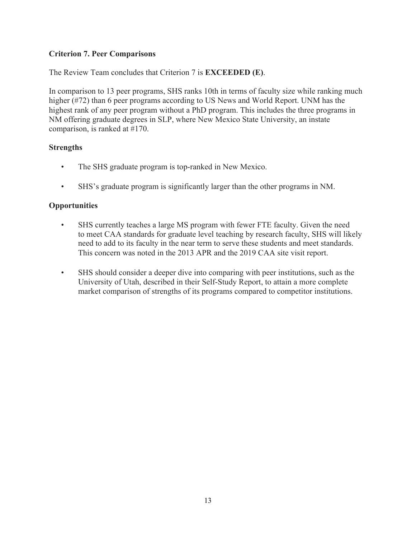# **Criterion 7. Peer Comparisons**

The Review Team concludes that Criterion 7 is **EXCEEDED (E)**.

In comparison to 13 peer programs, SHS ranks 10th in terms of faculty size while ranking much higher (#72) than 6 peer programs according to US News and World Report. UNM has the highest rank of any peer program without a PhD program. This includes the three programs in NM offering graduate degrees in SLP, where New Mexico State University, an instate comparison, is ranked at #170.

#### **Strengths**

- The SHS graduate program is top-ranked in New Mexico.
- SHS's graduate program is significantly larger than the other programs in NM.

#### **Opportunities**

- SHS currently teaches a large MS program with fewer FTE faculty. Given the need to meet CAA standards for graduate level teaching by research faculty, SHS will likely need to add to its faculty in the near term to serve these students and meet standards. This concern was noted in the 2013 APR and the 2019 CAA site visit report.
- SHS should consider a deeper dive into comparing with peer institutions, such as the University of Utah, described in their Self-Study Report, to attain a more complete market comparison of strengths of its programs compared to competitor institutions.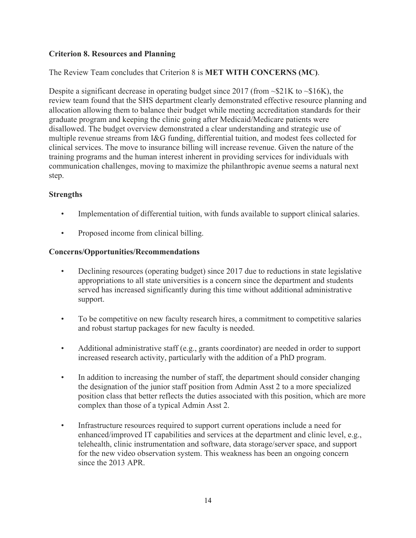## **Criterion 8. Resources and Planning**

# The Review Team concludes that Criterion 8 is **MET WITH CONCERNS (MC)**.

Despite a significant decrease in operating budget since 2017 (from  $\sim$ \$21K to  $\sim$ \$16K), the review team found that the SHS department clearly demonstrated effective resource planning and allocation allowing them to balance their budget while meeting accreditation standards for their graduate program and keeping the clinic going after Medicaid/Medicare patients were disallowed. The budget overview demonstrated a clear understanding and strategic use of multiple revenue streams from I&G funding, differential tuition, and modest fees collected for clinical services. The move to insurance billing will increase revenue. Given the nature of the training programs and the human interest inherent in providing services for individuals with communication challenges, moving to maximize the philanthropic avenue seems a natural next step.

## **Strengths**

- Implementation of differential tuition, with funds available to support clinical salaries.
- Proposed income from clinical billing.

## **Concerns/Opportunities/Recommendations**

- Declining resources (operating budget) since 2017 due to reductions in state legislative appropriations to all state universities is a concern since the department and students served has increased significantly during this time without additional administrative support.
- To be competitive on new faculty research hires, a commitment to competitive salaries and robust startup packages for new faculty is needed.
- Additional administrative staff (e.g., grants coordinator) are needed in order to support increased research activity, particularly with the addition of a PhD program.
- In addition to increasing the number of staff, the department should consider changing the designation of the junior staff position from Admin Asst 2 to a more specialized position class that better reflects the duties associated with this position, which are more complex than those of a typical Admin Asst 2.
- Infrastructure resources required to support current operations include a need for enhanced/improved IT capabilities and services at the department and clinic level, e.g., telehealth, clinic instrumentation and software, data storage/server space, and support for the new video observation system. This weakness has been an ongoing concern since the 2013 APR.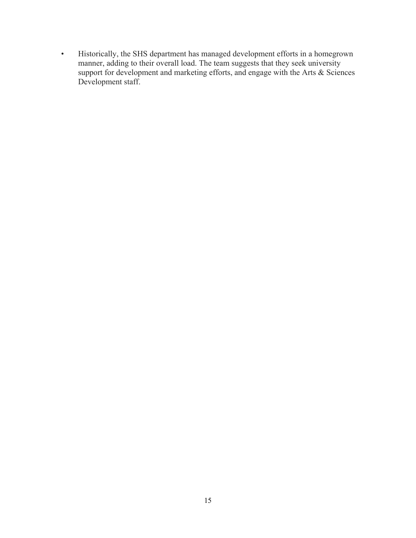• Historically, the SHS department has managed development efforts in a homegrown manner, adding to their overall load. The team suggests that they seek university support for development and marketing efforts, and engage with the Arts & Sciences Development staff.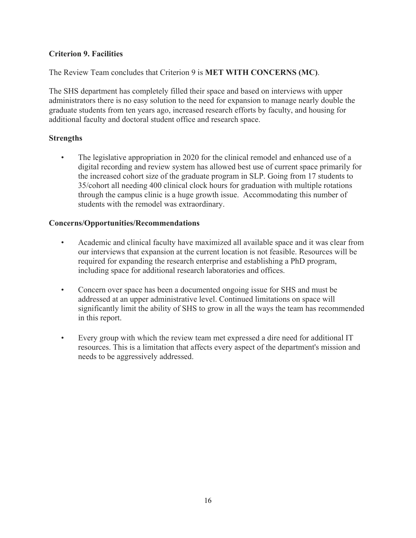## **Criterion 9. Facilities**

The Review Team concludes that Criterion 9 is **MET WITH CONCERNS (MC)**.

The SHS department has completely filled their space and based on interviews with upper administrators there is no easy solution to the need for expansion to manage nearly double the graduate students from ten years ago, increased research efforts by faculty, and housing for additional faculty and doctoral student office and research space.

## **Strengths**

The legislative appropriation in 2020 for the clinical remodel and enhanced use of a digital recording and review system has allowed best use of current space primarily for the increased cohort size of the graduate program in SLP. Going from 17 students to 35/cohort all needing 400 clinical clock hours for graduation with multiple rotations through the campus clinic is a huge growth issue. Accommodating this number of students with the remodel was extraordinary.

## **Concerns/Opportunities/Recommendations**

- Academic and clinical faculty have maximized all available space and it was clear from our interviews that expansion at the current location is not feasible. Resources will be required for expanding the research enterprise and establishing a PhD program, including space for additional research laboratories and offices.
- Concern over space has been a documented ongoing issue for SHS and must be addressed at an upper administrative level. Continued limitations on space will significantly limit the ability of SHS to grow in all the ways the team has recommended in this report.
- Every group with which the review team met expressed a dire need for additional IT resources. This is a limitation that affects every aspect of the department's mission and needs to be aggressively addressed.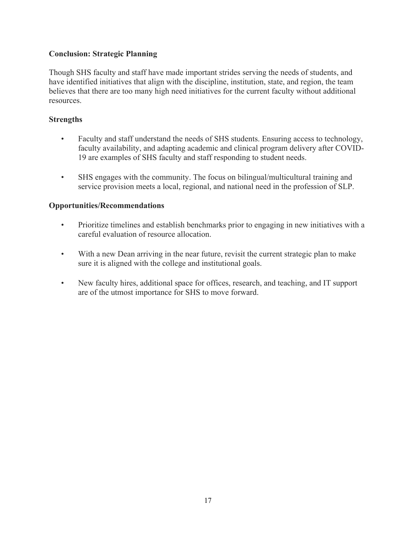## **Conclusion: Strategic Planning**

Though SHS faculty and staff have made important strides serving the needs of students, and have identified initiatives that align with the discipline, institution, state, and region, the team believes that there are too many high need initiatives for the current faculty without additional resources.

# **Strengths**

- Faculty and staff understand the needs of SHS students. Ensuring access to technology, faculty availability, and adapting academic and clinical program delivery after COVID-19 are examples of SHS faculty and staff responding to student needs.
- SHS engages with the community. The focus on bilingual/multicultural training and service provision meets a local, regional, and national need in the profession of SLP.

## **Opportunities/Recommendations**

- Prioritize timelines and establish benchmarks prior to engaging in new initiatives with a careful evaluation of resource allocation.
- With a new Dean arriving in the near future, revisit the current strategic plan to make sure it is aligned with the college and institutional goals.
- New faculty hires, additional space for offices, research, and teaching, and IT support are of the utmost importance for SHS to move forward.